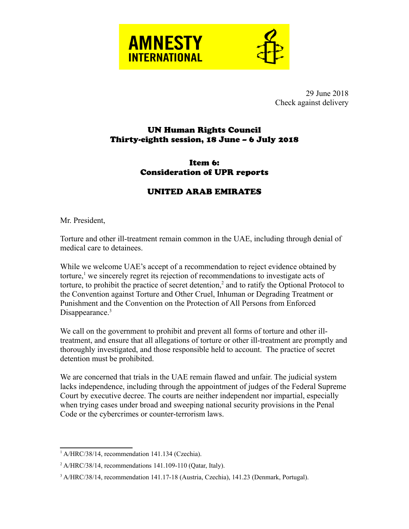



29 June 2018 Check against delivery

## UN Human Rights Council Thirty-eighth session, 18 June – 6 July 2018

## Item 6: Consideration of UPR reports

## UNITED ARAB EMIRATES

Mr. President,

Torture and other ill-treatment remain common in the UAE, including through denial of medical care to detainees.

While we welcome UAE's accept of a recommendation to reject evidence obtained by torture,<sup>[1](#page-0-0)</sup> we sincerely regret its rejection of recommendations to investigate acts of torture, to prohibit the practice of secret detention, $2$  and to ratify the Optional Protocol to the Convention against Torture and Other Cruel, Inhuman or Degrading Treatment or Punishment and the Convention on the Protection of All Persons from Enforced Disappearance.<sup>[3](#page-0-2)</sup>

We call on the government to prohibit and prevent all forms of torture and other illtreatment, and ensure that all allegations of torture or other ill-treatment are promptly and thoroughly investigated, and those responsible held to account. The practice of secret detention must be prohibited.

We are concerned that trials in the UAE remain flawed and unfair. The judicial system lacks independence, including through the appointment of judges of the Federal Supreme Court by executive decree. The courts are neither independent nor impartial, especially when trying cases under broad and sweeping national security provisions in the Penal Code or the cybercrimes or counter-terrorism laws.

<span id="page-0-0"></span><sup>&</sup>lt;sup>1</sup> A/HRC/38/14, recommendation 141.134 (Czechia).

<span id="page-0-1"></span> $^2$  A/HRC/38/14, recommendations 141.109-110 (Qatar, Italy).

<span id="page-0-2"></span><sup>&</sup>lt;sup>3</sup> A/HRC/38/14, recommendation 141.17-18 (Austria, Czechia), 141.23 (Denmark, Portugal).